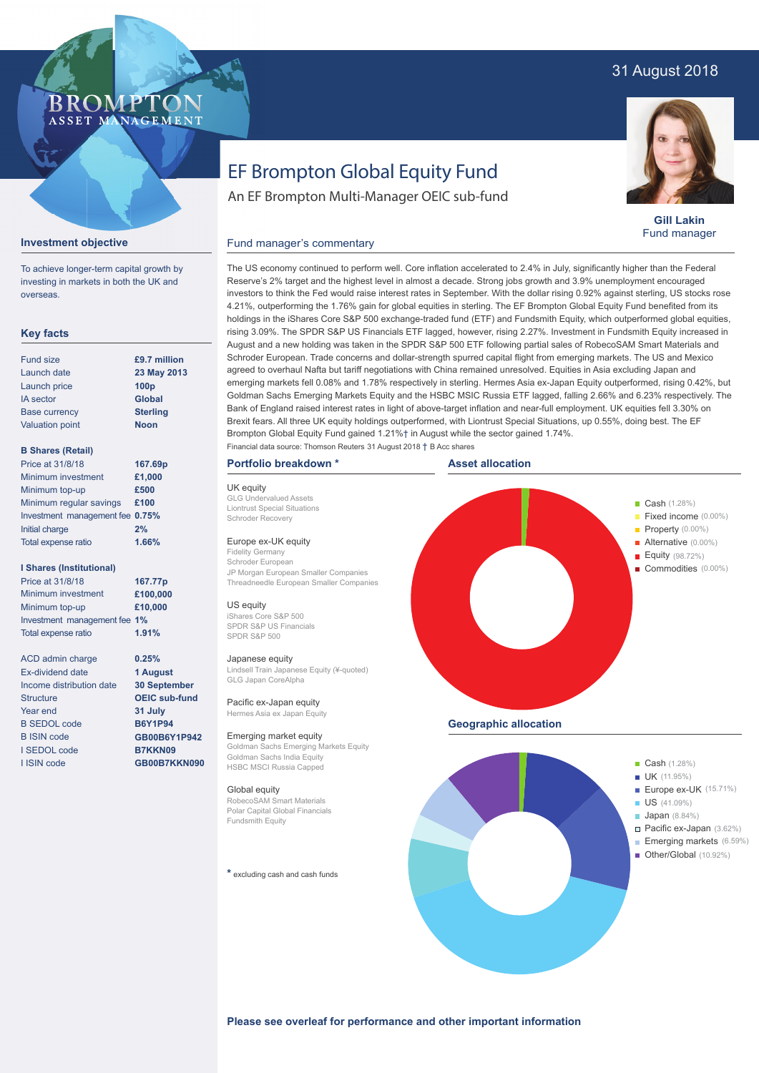# 31 August 2018

## **BROMP** ASSET MANAGEMENT

**Gill Lakin** Fund manager

# EF Brompton Global Equity Fund

An EF Brompton Multi-Manager OEIC sub-fund

#### **Investment objective**

**Key facts**

To achieve longer-term capital growth by investing in markets in both the UK and overseas.

| <b>Fund size</b>                | £9.7 million     |
|---------------------------------|------------------|
| Launch date                     | 23 May 2013      |
| Launch price                    | 100 <sub>p</sub> |
| <b>IA</b> sector                | Global           |
| <b>Base currency</b>            | <b>Sterling</b>  |
| <b>Valuation point</b>          | <b>Noon</b>      |
| <b>B Shares (Retail)</b>        |                  |
| Price at 31/8/18                | 167.69p          |
| Minimum investment              | £1,000           |
| Minimum top-up                  | £500             |
| Minimum regular savings         | £100             |
| Investment management fee 0.75% |                  |
| Initial charge                  | 2%               |
| <b>Total expense ratio</b>      | 1.66%            |
| <b>I Shares (Institutional)</b> |                  |
| Price at 31/8/18                | 167.77p          |
| Minimum investment              | £100,000         |
| Minimum top-up                  | £10,000          |
| Investment management fee 1%    |                  |
| <b>Total expense ratio</b>      | 1.91%            |
|                                 |                  |

**0.25% 1 August 30 September OEIC sub-fund 31 July B6Y1P94 GB00B6Y1P942 B7KKN09 GB00B7KKN090**

| ACD admin charge         |
|--------------------------|
| Ex-dividend date         |
| Income distribution date |
| <b>Structure</b>         |
| Year end                 |
| <b>B SEDOL code</b>      |
| <b>B</b> ISIN code       |
| I SEDOL code             |
| <b>I ISIN code</b>       |

# Fund manager's commentary

The US economy continued to perform well. Core inflation accelerated to 2.4% in July, significantly higher than the Federal Reserve's 2% target and the highest level in almost a decade. Strong jobs growth and 3.9% unemployment encouraged investors to think the Fed would raise interest rates in September. With the dollar rising 0.92% against sterling, US stocks rose 4.21%, outperforming the 1.76% gain for global equities in sterling. The EF Brompton Global Equity Fund benefited from its holdings in the iShares Core S&P 500 exchange-traded fund (ETF) and Fundsmith Equity, which outperformed global equities, rising 3.09%. The SPDR S&P US Financials ETF lagged, however, rising 2.27%. Investment in Fundsmith Equity increased in August and a new holding was taken in the SPDR S&P 500 ETF following partial sales of RobecoSAM Smart Materials and Schroder European. Trade concerns and dollar-strength spurred capital flight from emerging markets. The US and Mexico agreed to overhaul Nafta but tariff negotiations with China remained unresolved. Equities in Asia excluding Japan and emerging markets fell 0.08% and 1.78% respectively in sterling. Hermes Asia ex-Japan Equity outperformed, rising 0.42%, but Goldman Sachs Emerging Markets Equity and the HSBC MSIC Russia ETF lagged, falling 2.66% and 6.23% respectively. The Bank of England raised interest rates in light of above-target inflation and near-full employment. UK equities fell 3.30% on Brexit fears. All three UK equity holdings outperformed, with Liontrust Special Situations, up 0.55%, doing best. The EF Brompton Global Equity Fund gained 1.21%† in August while the sector gained 1.74%.

### **Portfolio breakdown \***

UK equity GLG Undervalued Assets Liontrust Special Situations Schroder Recovery

### Europe ex-UK equity

Fidelity Germany Schroder European JP Morgan European Smaller Companies Threadneedle European Smaller Companies

### US equity

iShares Core S&P 500 SPDR S&P US Financials SPDR S&P 500

#### Japanese equity

Lindsell Train Japanese Equity (¥-quoted) GLG Japan CoreAlpha

Pacific ex-Japan equity Hermes Asia ex Japan Equity

Emerging market equity Goldman Sachs Emerging Markets Equity Goldman Sachs India Equity HSBC MSCI Russia Capped

#### Global equity

RobecoSAM Smart Materials Polar Capital Global Financials Fundsmith Equity

**\*** excluding cash and cash funds





#### **Please see overleaf for performance and other important information**